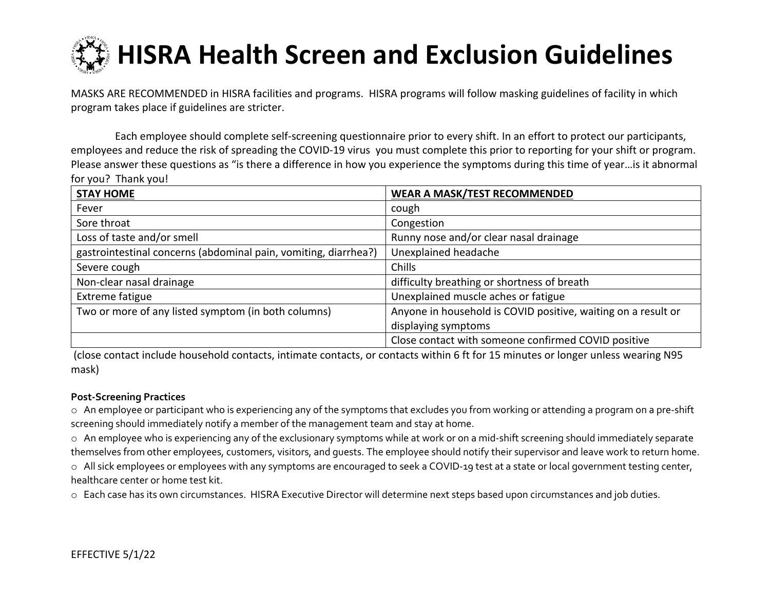# **HISRA Health Screen and Exclusion Guidelines**

MASKS ARE RECOMMENDED in HISRA facilities and programs. HISRA programs will follow masking guidelines of facility in which program takes place if guidelines are stricter.

Each employee should complete self-screening questionnaire prior to every shift. In an effort to protect our participants, employees and reduce the risk of spreading the COVID-19 virus you must complete this prior to reporting for your shift or program. Please answer these questions as "is there a difference in how you experience the symptoms during this time of year…is it abnormal for you? Thank you!

| <b>STAY HOME</b>                                                | <b>WEAR A MASK/TEST RECOMMENDED</b>                           |
|-----------------------------------------------------------------|---------------------------------------------------------------|
| Fever                                                           | cough                                                         |
| Sore throat                                                     | Congestion                                                    |
| Loss of taste and/or smell                                      | Runny nose and/or clear nasal drainage                        |
| gastrointestinal concerns (abdominal pain, vomiting, diarrhea?) | Unexplained headache                                          |
| Severe cough                                                    | Chills                                                        |
| Non-clear nasal drainage                                        | difficulty breathing or shortness of breath                   |
| Extreme fatigue                                                 | Unexplained muscle aches or fatigue                           |
| Two or more of any listed symptom (in both columns)             | Anyone in household is COVID positive, waiting on a result or |
|                                                                 | displaying symptoms                                           |
|                                                                 | Close contact with someone confirmed COVID positive           |

(close contact include household contacts, intimate contacts, or contacts within 6 ft for 15 minutes or longer unless wearing N95 mask)

## **Post-Screening Practices**

o An employee or participant who is experiencing any of the symptoms that excludes you from working or attending a program on a pre-shift screening should immediately notify a member of the management team and stay at home.

o An employee who is experiencing any of the exclusionary symptoms while at work or on a mid-shift screening should immediately separate themselves from other employees, customers, visitors, and guests. The employee should notify their supervisor and leave work to return home.

o All sick employees or employees with any symptoms are encouraged to seek a COVID-19 test at a state or local government testing center, healthcare center or home test kit.

o Each case has its own circumstances. HISRA Executive Director will determine next steps based upon circumstances and job duties.